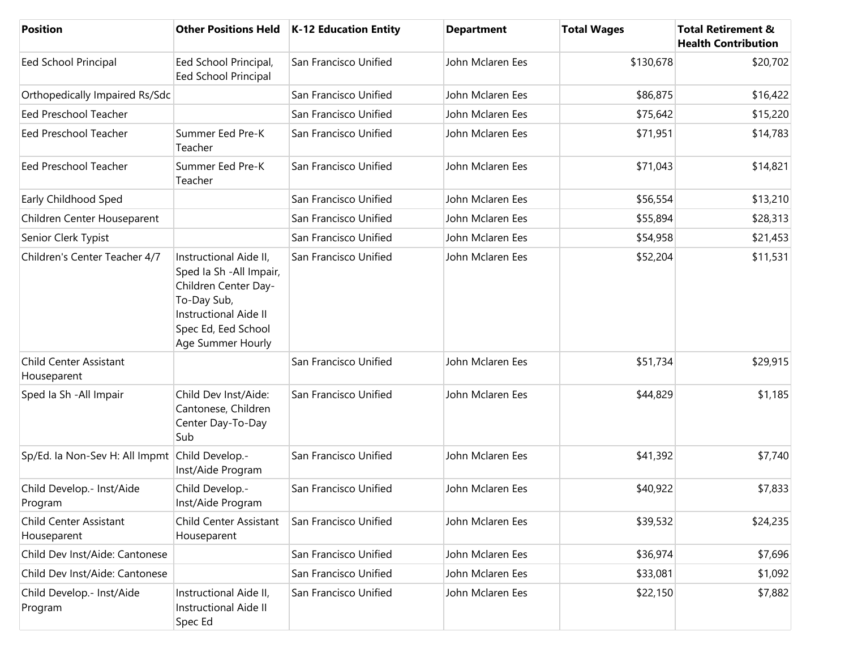| <b>Position</b>                                | <b>Other Positions Held</b>                                                                                                                                           | K-12 Education Entity | <b>Department</b> | <b>Total Wages</b> | <b>Total Retirement &amp;</b><br><b>Health Contribution</b> |
|------------------------------------------------|-----------------------------------------------------------------------------------------------------------------------------------------------------------------------|-----------------------|-------------------|--------------------|-------------------------------------------------------------|
| Eed School Principal                           | Eed School Principal,<br>Eed School Principal                                                                                                                         | San Francisco Unified | John Mclaren Ees  | \$130,678          | \$20,702                                                    |
| Orthopedically Impaired Rs/Sdc                 |                                                                                                                                                                       | San Francisco Unified | John Mclaren Ees  | \$86,875           | \$16,422                                                    |
| <b>Eed Preschool Teacher</b>                   |                                                                                                                                                                       | San Francisco Unified | John Mclaren Ees  | \$75,642           | \$15,220                                                    |
| Eed Preschool Teacher                          | Summer Eed Pre-K<br>Teacher                                                                                                                                           | San Francisco Unified | John Mclaren Ees  | \$71,951           | \$14,783                                                    |
| Eed Preschool Teacher                          | Summer Eed Pre-K<br>Teacher                                                                                                                                           | San Francisco Unified | John Mclaren Ees  | \$71,043           | \$14,821                                                    |
| Early Childhood Sped                           |                                                                                                                                                                       | San Francisco Unified | John Mclaren Ees  | \$56,554           | \$13,210                                                    |
| Children Center Houseparent                    |                                                                                                                                                                       | San Francisco Unified | John Mclaren Ees  | \$55,894           | \$28,313                                                    |
| Senior Clerk Typist                            |                                                                                                                                                                       | San Francisco Unified | John Mclaren Ees  | \$54,958           | \$21,453                                                    |
| Children's Center Teacher 4/7                  | Instructional Aide II,<br>Sped Ia Sh - All Impair,<br>Children Center Day-<br>To-Day Sub,<br><b>Instructional Aide II</b><br>Spec Ed, Eed School<br>Age Summer Hourly | San Francisco Unified | John Mclaren Ees  | \$52,204           | \$11,531                                                    |
| Child Center Assistant<br>Houseparent          |                                                                                                                                                                       | San Francisco Unified | John Mclaren Ees  | \$51,734           | \$29,915                                                    |
| Sped Ia Sh - All Impair                        | Child Dev Inst/Aide:<br>Cantonese, Children<br>Center Day-To-Day<br>Sub                                                                                               | San Francisco Unified | John Mclaren Ees  | \$44,829           | \$1,185                                                     |
| Sp/Ed. la Non-Sev H: All Impmt Child Develop.- | Inst/Aide Program                                                                                                                                                     | San Francisco Unified | John Mclaren Ees  | \$41,392           | \$7,740                                                     |
| Child Develop.- Inst/Aide<br>Program           | Child Develop.-<br>Inst/Aide Program                                                                                                                                  | San Francisco Unified | John Mclaren Ees  | \$40,922           | \$7,833                                                     |
| Child Center Assistant<br>Houseparent          | Child Center Assistant<br>Houseparent                                                                                                                                 | San Francisco Unified | John Mclaren Ees  | \$39,532           | \$24,235                                                    |
| Child Dev Inst/Aide: Cantonese                 |                                                                                                                                                                       | San Francisco Unified | John Mclaren Ees  | \$36,974           | \$7,696                                                     |
| Child Dev Inst/Aide: Cantonese                 |                                                                                                                                                                       | San Francisco Unified | John Mclaren Ees  | \$33,081           | \$1,092                                                     |
| Child Develop.- Inst/Aide<br>Program           | Instructional Aide II,<br><b>Instructional Aide II</b><br>Spec Ed                                                                                                     | San Francisco Unified | John Mclaren Ees  | \$22,150           | \$7,882                                                     |